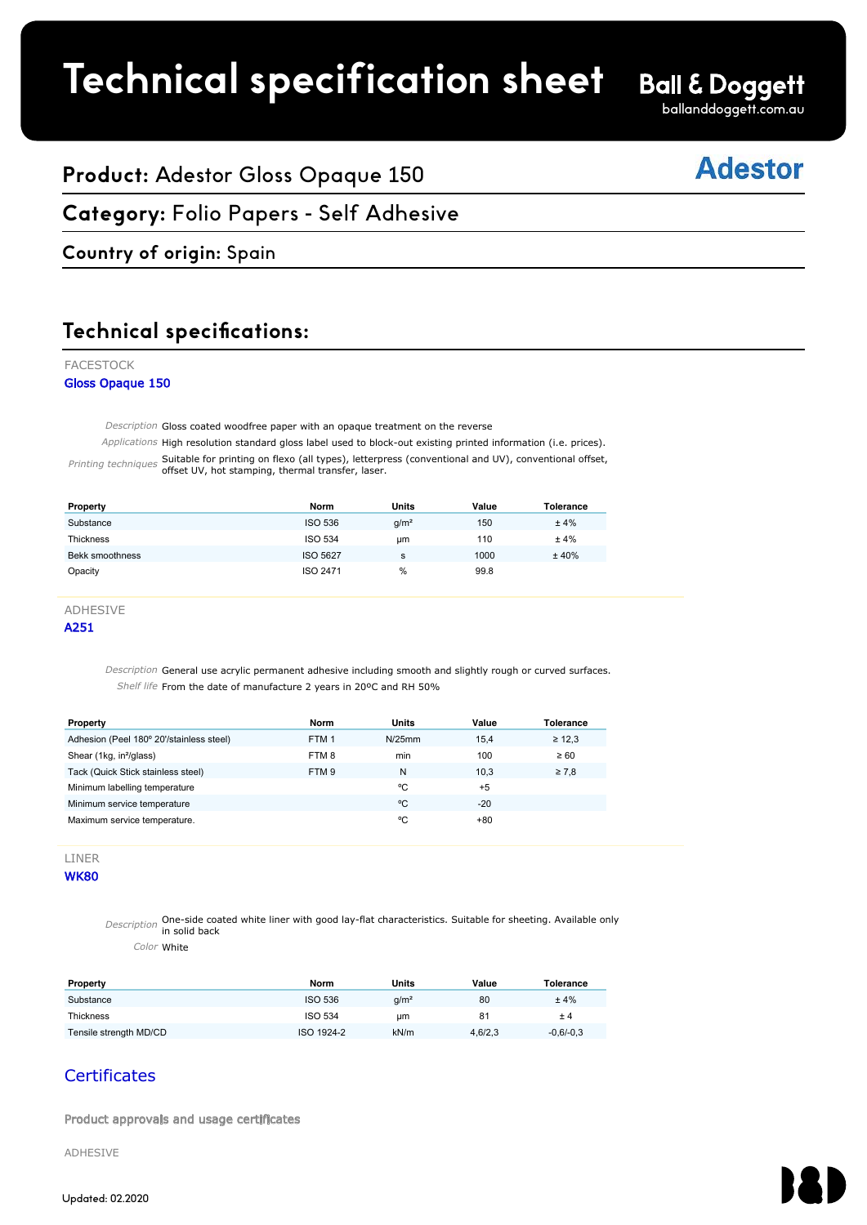## **Technical specification sheet**

ballanddoggett.com.au

## **Adestor**

## **Product:** Adestor Gloss Opaque 150

#### **Category:** Folio Papers - Self Adhesive FACESTOCK

### **Country of origin:** Spain

#### **Technical specifications:** Adestitical spectruations.

#### FACESTOCK

#### Gloss Opaque 150

Description Gloss coated woodfree paper with an opaque treatment on the reverse

Applications High resolution standard gloss label used to block-out existing printed information (i.e. prices).

Printing techniques Suitable for printing on flexo (all types), letterpress (conventional and UV), conventional offset, offset UV, hot stamping, thermal transfer, laser.

| Property         | Norm           | <b>Units</b>     | Value | Tolerance |
|------------------|----------------|------------------|-------|-----------|
| Substance        | <b>ISO 536</b> | g/m <sup>2</sup> | 150   | ±4%       |
| <b>Thickness</b> | <b>ISO 534</b> | um               | 110   | ±4%       |
| Bekk smoothness  | ISO 5627       | s                | 1000  | ±40%      |
| Opacity          | ISO 2471       | %                | 99.8  |           |

| <b>FIUPEILY</b>                                                                                            | 1101 111         | ບເແວ             | value         | <b>I</b> VICIAIILC |
|------------------------------------------------------------------------------------------------------------|------------------|------------------|---------------|--------------------|
| Substance                                                                                                  | <b>ISO 536</b>   | g/m <sup>2</sup> | 150           | ±4%                |
| Thickness                                                                                                  | <b>ISO 534</b>   | <b>um</b>        | 110           | ±4%                |
| Bekk smoothness                                                                                            | <b>ISO 5627</b>  | s                | 1000          | ±40%               |
| Opacity                                                                                                    | ISO 2471         | $\%$             | 99.8          |                    |
|                                                                                                            |                  |                  |               |                    |
| <b>ADHESIVE</b>                                                                                            |                  |                  |               |                    |
| A251                                                                                                       |                  |                  |               |                    |
| Description General use acrylic permanent adhesive including smooth and slightly rough or curved surfaces. |                  |                  |               |                    |
| Shelf life From the date of manufacture 2 years in 20°C and RH 50%                                         |                  |                  |               |                    |
| Property                                                                                                   | <b>Norm</b>      | <b>Units</b>     | Value         | <b>Tolerance</b>   |
| Adhesion (Peel 180° 20'/stainless steel)                                                                   | FTM <sub>1</sub> | N/25mm           | 15,4          | $\geq 12.3$        |
| Shear (1kg, in <sup>2</sup> /glass)                                                                        | FTM8             | min              | 100           | $\geq 60$          |
| Tack (Quick Stick stainless steel)                                                                         | FTM 9            | N<br>°C          | 10,3          | $\geq 7.8$         |
| Minimum labelling temperature                                                                              |                  | °C               | $+5$<br>$-20$ |                    |
| Minimum service temperature<br>Maximum service temperature.                                                |                  | °C               | $+80$         |                    |

LINER

**WK80** 

Description One-side coated white liner with good lay-flat characteristics. Suitable for sheeting. Available only in solid back

Color White

| Property               | Norm           | Units            | Value   | <b>Tolerance</b> |
|------------------------|----------------|------------------|---------|------------------|
| Substance              | <b>ISO 536</b> | g/m <sup>2</sup> | 80      | ±4%              |
| Thickness              | <b>ISO 534</b> | um               | 81      | ± 4              |
| Tensile strength MD/CD | ISO 1924-2     | kN/m             | 4,6/2,3 | $-0,6/-0,3$      |

### **Certificates**

Product approvals and usage certificates

ADHESIVE